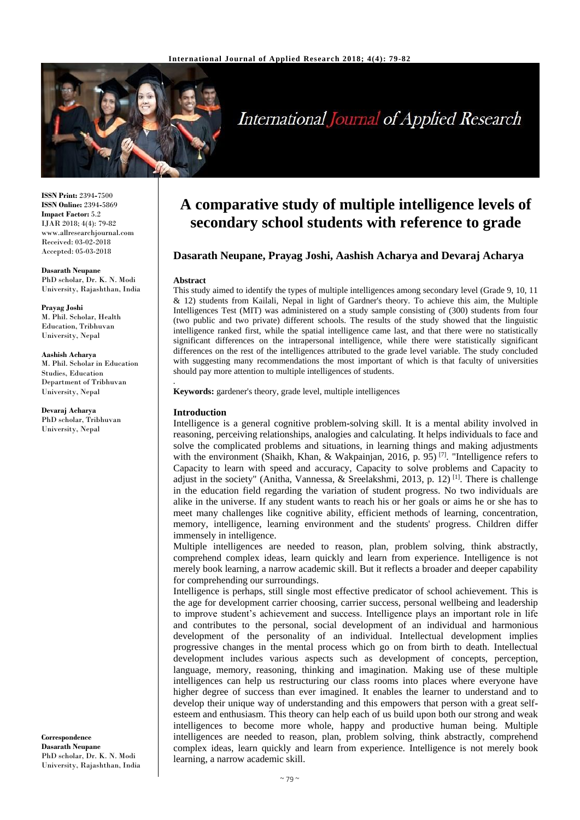

# **International Journal of Applied Research**

**ISSN Print:** 2394**-**7500 **ISSN Online:** 2394**-**5869 **Impact Factor:** 5.2 IJAR 2018; 4(4): 79-82 www.allresearchjournal.com Received: 03-02-2018 Accepted: 05-03-2018

**Dasarath Neupane** PhD scholar, Dr. K. N. Modi University, Rajashthan, India

**Prayag Joshi** M. Phil. Scholar, Health Education, Tribhuvan University, Nepal

**Aashish Acharya** M. Phil. Scholar in Education Studies, Education Department of Tribhuvan University, Nepal

**Devaraj Acharya** PhD scholar, Tribhuvan University, Nepal

**Correspondence Dasarath Neupane** PhD scholar, Dr. K. N. Modi University, Rajashthan, India

# **A comparative study of multiple intelligence levels of secondary school students with reference to grade**

# **Dasarath Neupane, Prayag Joshi, Aashish Acharya and Devaraj Acharya**

#### **Abstract**

This study aimed to identify the types of multiple intelligences among secondary level (Grade 9, 10, 11 & 12) students from Kailali, Nepal in light of Gardner's theory. To achieve this aim, the Multiple Intelligences Test (MIT) was administered on a study sample consisting of (300) students from four (two public and two private) different schools. The results of the study showed that the linguistic intelligence ranked first, while the spatial intelligence came last, and that there were no statistically significant differences on the intrapersonal intelligence, while there were statistically significant differences on the rest of the intelligences attributed to the grade level variable. The study concluded with suggesting many recommendations the most important of which is that faculty of universities should pay more attention to multiple intelligences of students.

**Keywords:** gardener's theory, grade level, multiple intelligences

#### **Introduction**

*.*

Intelligence is a general cognitive problem**-**solving skill. It is a mental ability involved in reasoning, perceiving relationships, analogies and calculating. It helps individuals to face and solve the complicated problems and situations, in learning things and making adjustments with the environment (Shaikh, Khan, & Wakpainjan, 2016, p. 95)<sup>[7]</sup>. "Intelligence refers to Capacity to learn with speed and accuracy, Capacity to solve problems and Capacity to adjust in the society" (Anitha, Vannessa, & Sreelakshmi, 2013, p. 12)<sup>[1]</sup>. There is challenge in the education field regarding the variation of student progress. No two individuals are alike in the universe. If any student wants to reach his or her goals or aims he or she has to meet many challenges like cognitive ability, efficient methods of learning, concentration, memory, intelligence, learning environment and the students' progress. Children differ immensely in intelligence.

Multiple intelligences are needed to reason, plan, problem solving, think abstractly, comprehend complex ideas, learn quickly and learn from experience. Intelligence is not merely book learning, a narrow academic skill. But it reflects a broader and deeper capability for comprehending our surroundings.

Intelligence is perhaps, still single most effective predicator of school achievement. This is the age for development carrier choosing, carrier success, personal wellbeing and leadership to improve student's achievement and success. Intelligence plays an important role in life and contributes to the personal, social development of an individual and harmonious development of the personality of an individual. Intellectual development implies progressive changes in the mental process which go on from birth to death. Intellectual development includes various aspects such as development of concepts, perception, language, memory, reasoning, thinking and imagination. Making use of these multiple intelligences can help us restructuring our class rooms into places where everyone have higher degree of success than ever imagined. It enables the learner to understand and to develop their unique way of understanding and this empowers that person with a great selfesteem and enthusiasm. This theory can help each of us build upon both our strong and weak intelligences to become more whole, happy and productive human being. Multiple intelligences are needed to reason, plan, problem solving, think abstractly, comprehend complex ideas, learn quickly and learn from experience. Intelligence is not merely book learning, a narrow academic skill.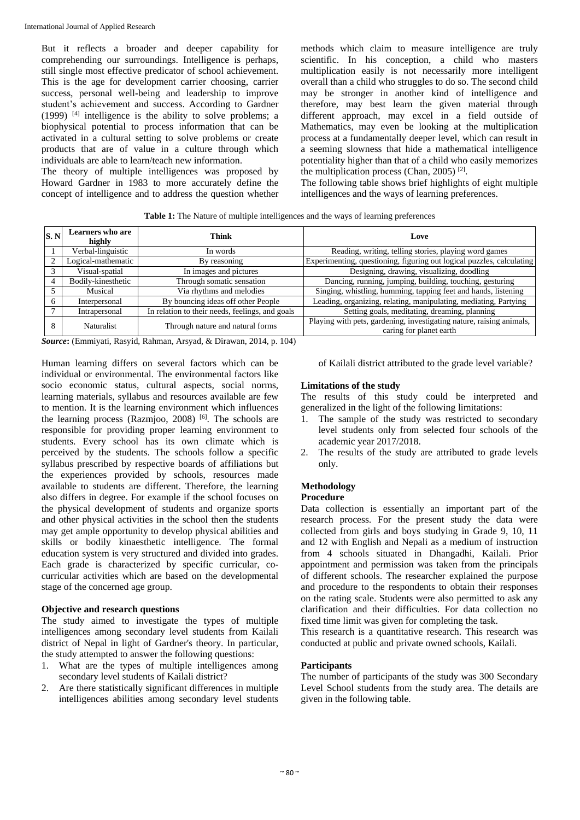But it reflects a broader and deeper capability for comprehending our surroundings. Intelligence is perhaps, still single most effective predicator of school achievement. This is the age for development carrier choosing, carrier success, personal well**-**being and leadership to improve student's achievement and success. According to Gardner (1999)  $[4]$  intelligence is the ability to solve problems; a biophysical potential to process information that can be activated in a cultural setting to solve problems or create products that are of value in a culture through which individuals are able to learn/teach new information.

The theory of multiple intelligences was proposed by Howard Gardner in 1983 to more accurately define the concept of intelligence and to address the question whether methods which claim to measure intelligence are truly scientific. In his conception, a child who masters multiplication easily is not necessarily more intelligent overall than a child who struggles to do so. The second child may be stronger in another kind of intelligence and therefore, may best learn the given material through different approach, may excel in a field outside of Mathematics, may even be looking at the multiplication process at a fundamentally deeper level, which can result in a seeming slowness that hide a mathematical intelligence potentiality higher than that of a child who easily memorizes the multiplication process (Chan, 2005)<sup>[2]</sup>.

The following table shows brief highlights of eight multiple intelligences and the ways of learning preferences.

**Table 1:** The Nature of multiple intelligences and the ways of learning preferences

| S.N      | <b>Learners</b> who are<br>highly | Think                                           | Love                                                                                            |
|----------|-----------------------------------|-------------------------------------------------|-------------------------------------------------------------------------------------------------|
|          | Verbal-linguistic                 | In words                                        | Reading, writing, telling stories, playing word games                                           |
|          | Logical-mathematic                | By reasoning                                    | Experimenting, questioning, figuring out logical puzzles, calculating                           |
|          | Visual-spatial                    | In images and pictures                          | Designing, drawing, visualizing, doodling                                                       |
|          | Bodily-kinesthetic                | Through somatic sensation                       | Dancing, running, jumping, building, touching, gesturing                                        |
|          | Musical                           | Via rhythms and melodies                        | Singing, whistling, humming, tapping feet and hands, listening                                  |
|          | Interpersonal                     | By bouncing ideas off other People              | Leading, organizing, relating, manipulating, mediating, Partying                                |
|          | Intrapersonal                     | In relation to their needs, feelings, and goals | Setting goals, meditating, dreaming, planning                                                   |
| $\Delta$ | <b>Naturalist</b>                 | Through nature and natural forms                | Playing with pets, gardening, investigating nature, raising animals,<br>caring for planet earth |

*Source***:** (Emmiyati, Rasyid, Rahman, Arsyad, & Dirawan, 2014, p. 104)

Human learning differs on several factors which can be individual or environmental. The environmental factors like socio economic status, cultural aspects, social norms, learning materials, syllabus and resources available are few to mention. It is the learning environment which influences the learning process (Razmjoo, 2008) [6]. The schools are responsible for providing proper learning environment to students. Every school has its own climate which is perceived by the students. The schools follow a specific syllabus prescribed by respective boards of affiliations but the experiences provided by schools, resources made available to students are different. Therefore, the learning also differs in degree. For example if the school focuses on the physical development of students and organize sports and other physical activities in the school then the students may get ample opportunity to develop physical abilities and skills or bodily kinaesthetic intelligence. The formal education system is very structured and divided into grades. Each grade is characterized by specific curricular, cocurricular activities which are based on the developmental stage of the concerned age group.

#### **Objective and research questions**

The study aimed to investigate the types of multiple intelligences among secondary level students from Kailali district of Nepal in light of Gardner's theory. In particular, the study attempted to answer the following questions:

- 1. What are the types of multiple intelligences among secondary level students of Kailali district?
- 2. Are there statistically significant differences in multiple intelligences abilities among secondary level students

of Kailali district attributed to the grade level variable?

# **Limitations of the study**

The results of this study could be interpreted and generalized in the light of the following limitations:

- 1. The sample of the study was restricted to secondary level students only from selected four schools of the academic year 2017/2018.
- 2. The results of the study are attributed to grade levels only.

# **Methodology**

# **Procedure**

Data collection is essentially an important part of the research process. For the present study the data were collected from girls and boys studying in Grade 9, 10, 11 and 12 with English and Nepali as a medium of instruction from 4 schools situated in Dhangadhi, Kailali. Prior appointment and permission was taken from the principals of different schools. The researcher explained the purpose and procedure to the respondents to obtain their responses on the rating scale. Students were also permitted to ask any clarification and their difficulties. For data collection no fixed time limit was given for completing the task.

This research is a quantitative research. This research was conducted at public and private owned schools, Kailali.

# **Participants**

The number of participants of the study was 300 Secondary Level School students from the study area. The details are given in the following table.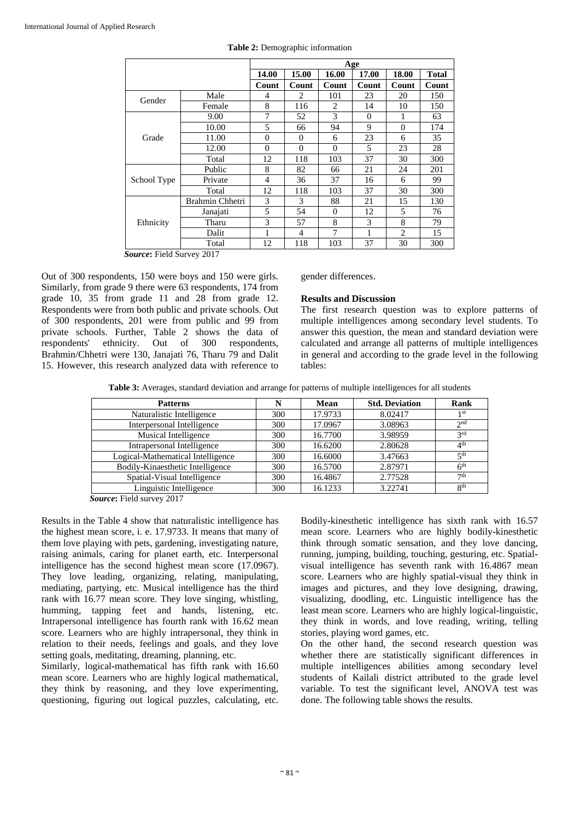|             |                 | Age            |                |                |          |                |              |
|-------------|-----------------|----------------|----------------|----------------|----------|----------------|--------------|
|             |                 | 14.00          | 15.00          | 16.00          | 17.00    | 18.00          | <b>Total</b> |
|             |                 | Count          | Count          | Count          | Count    | Count          | Count        |
| Gender      | Male            | 4              | 2              | 101            | 23       | 20             | 150          |
|             | Female          | 8              | 116            | $\overline{c}$ | 14       | 10             | 150          |
|             | 9.00            | 7              | 52             | 3              | $\Omega$ | 1              | 63           |
|             | 10.00           | 5              | 66             | 94             | 9        | $\Omega$       | 174          |
| Grade       | 11.00           | $\overline{0}$ | $\Omega$       | 6              | 23       | 6              | 35           |
|             | 12.00           | $\theta$       | $\theta$       | $\theta$       | 5        | 23             | 28           |
|             | Total           | 12             | 118            | 103            | 37       | 30             | 300          |
|             | Public          | 8              | 82             | 66             | 21       | 24             | 201          |
| School Type | Private         | 4              | 36             | 37             | 16       | 6              | 99           |
|             | Total           | 12             | 118            | 103            | 37       | 30             | 300          |
|             | Brahmin Chhetri | 3              | 3              | 88             | 21       | 15             | 130          |
|             | Janajati        | 5              | 54             | $\Omega$       | 12       | 5              | 76           |
| Ethnicity   | Tharu           | 3              | 57             | 8              | 3        | 8              | 79           |
|             | Dalit           | 1              | $\overline{4}$ | 7              | 1        | $\overline{c}$ | 15           |
|             | Total           | 12             | 118            | 103            | 37       | 30             | 300          |

| Table 2: Demographic information |  |
|----------------------------------|--|
|                                  |  |

*Source***:** Field Survey 2017

Out of 300 respondents, 150 were boys and 150 were girls. Similarly, from grade 9 there were 63 respondents, 174 from grade 10, 35 from grade 11 and 28 from grade 12. Respondents were from both public and private schools. Out of 300 respondents, 201 were from public and 99 from private schools. Further, Table 2 shows the data of respondents' ethnicity. Out of 300 respondents, Brahmin/Chhetri were 130, Janajati 76, Tharu 79 and Dalit 15. However, this research analyzed data with reference to

#### gender differences.

#### **Results and Discussion**

The first research question was to explore patterns of multiple intelligences among secondary level students. To answer this question, the mean and standard deviation were calculated and arrange all patterns of multiple intelligences in general and according to the grade level in the following tables:

**Table 3:** Averages, standard deviation and arrange for patterns of multiple intelligences for all students

| <b>Patterns</b>                   |     | Mean    | <b>Std. Deviation</b> | Rank            |
|-----------------------------------|-----|---------|-----------------------|-----------------|
| Naturalistic Intelligence         | 300 | 17.9733 | 8.02417               | 1 <sup>st</sup> |
| Interpersonal Intelligence        | 300 | 17.0967 | 3.08963               | 2 <sub>nd</sub> |
| Musical Intelligence              | 300 | 16.7700 | 3.98959               | 2rd             |
| Intrapersonal Intelligence        | 300 | 16.6200 | 2.80628               | 4 <sup>th</sup> |
| Logical-Mathematical Intelligence | 300 | 16.6000 | 3.47663               | 5 <sup>th</sup> |
| Bodily-Kinaesthetic Intelligence  | 300 | 16.5700 | 2.87971               | 6 <sup>th</sup> |
| Spatial-Visual Intelligence       | 300 | 16.4867 | 2.77528               | 7 <sup>th</sup> |
| Linguistic Intelligence           | 300 | 16.1233 | 3.22741               | 8 <sup>th</sup> |

*Source***:** Field survey 2017

Results in the Table 4 show that naturalistic intelligence has the highest mean score, i. e. 17.9733. It means that many of them love playing with pets, gardening, investigating nature, raising animals, caring for planet earth, etc. Interpersonal intelligence has the second highest mean score (17.0967). They love leading, organizing, relating, manipulating, mediating, partying, etc. Musical intelligence has the third rank with 16.77 mean score. They love singing, whistling, humming, tapping feet and hands, listening, etc. Intrapersonal intelligence has fourth rank with 16.62 mean score. Learners who are highly intrapersonal, they think in relation to their needs, feelings and goals, and they love setting goals, meditating, dreaming, planning, etc.

Similarly, logical**-**mathematical has fifth rank with 16.60 mean score. Learners who are highly logical mathematical, they think by reasoning, and they love experimenting, questioning, figuring out logical puzzles, calculating, etc.

Bodily**-**kinesthetic intelligence has sixth rank with 16.57 mean score. Learners who are highly bodily**-**kinesthetic think through somatic sensation, and they love dancing, running, jumping, building, touching, gesturing, etc. Spatialvisual intelligence has seventh rank with 16.4867 mean score. Learners who are highly spatial**-**visual they think in images and pictures, and they love designing, drawing, visualizing, doodling, etc. Linguistic intelligence has the least mean score. Learners who are highly logical**-**linguistic, they think in words, and love reading, writing, telling stories, playing word games, etc.

On the other hand, the second research question was whether there are statistically significant differences in multiple intelligences abilities among secondary level students of Kailali district attributed to the grade level variable. To test the significant level, ANOVA test was done. The following table shows the results.